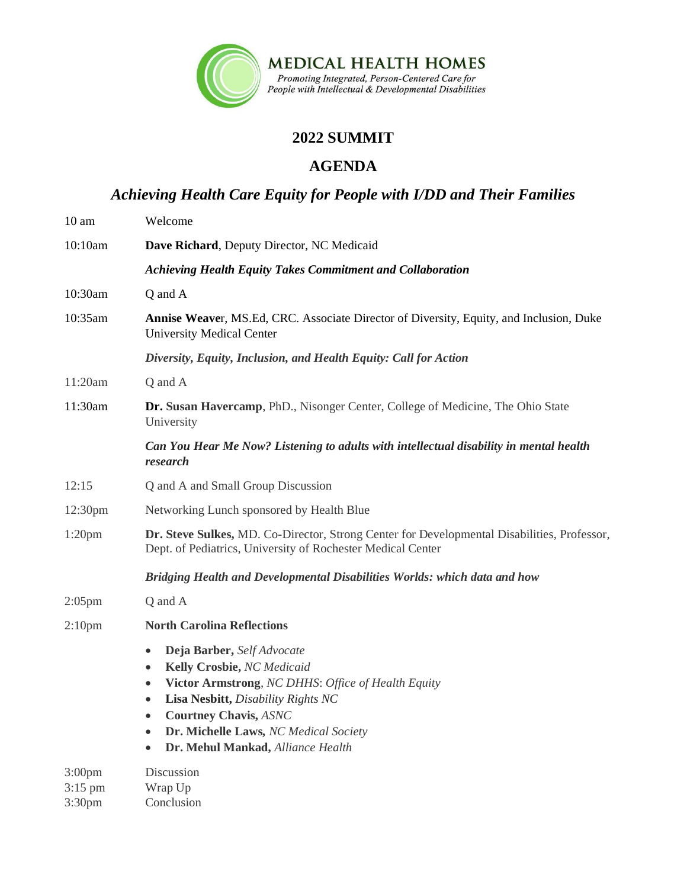

## **2022 SUMMIT**

## **AGENDA**

*Achieving Health Care Equity for People with I/DD and Their Families*

| 10 <sub>am</sub>                                      | Welcome                                                                                                                                                                                                                                                                                                                             |
|-------------------------------------------------------|-------------------------------------------------------------------------------------------------------------------------------------------------------------------------------------------------------------------------------------------------------------------------------------------------------------------------------------|
| 10:10am                                               | Dave Richard, Deputy Director, NC Medicaid                                                                                                                                                                                                                                                                                          |
|                                                       | <b>Achieving Health Equity Takes Commitment and Collaboration</b>                                                                                                                                                                                                                                                                   |
| 10:30am                                               | Q and A                                                                                                                                                                                                                                                                                                                             |
| 10:35am                                               | <b>Annise Weaver, MS.Ed, CRC. Associate Director of Diversity, Equity, and Inclusion, Duke</b><br><b>University Medical Center</b>                                                                                                                                                                                                  |
|                                                       | Diversity, Equity, Inclusion, and Health Equity: Call for Action                                                                                                                                                                                                                                                                    |
| 11:20am                                               | Q and A                                                                                                                                                                                                                                                                                                                             |
| 11:30am                                               | Dr. Susan Havercamp, PhD., Nisonger Center, College of Medicine, The Ohio State<br>University                                                                                                                                                                                                                                       |
|                                                       | Can You Hear Me Now? Listening to adults with intellectual disability in mental health<br>research                                                                                                                                                                                                                                  |
| 12:15                                                 | Q and A and Small Group Discussion                                                                                                                                                                                                                                                                                                  |
| 12:30pm                                               | Networking Lunch sponsored by Health Blue                                                                                                                                                                                                                                                                                           |
| 1:20 <sub>pm</sub>                                    | Dr. Steve Sulkes, MD. Co-Director, Strong Center for Developmental Disabilities, Professor,<br>Dept. of Pediatrics, University of Rochester Medical Center                                                                                                                                                                          |
|                                                       | Bridging Health and Developmental Disabilities Worlds: which data and how                                                                                                                                                                                                                                                           |
| $2:05$ pm                                             | Q and A                                                                                                                                                                                                                                                                                                                             |
| 2:10 <sub>pm</sub>                                    | <b>North Carolina Reflections</b>                                                                                                                                                                                                                                                                                                   |
|                                                       | Deja Barber, Self Advocate<br>$\bullet$<br>Kelly Crosbie, NC Medicaid<br>$\bullet$<br>Victor Armstrong, NC DHHS: Office of Health Equity<br>$\bullet$<br>Lisa Nesbitt, Disability Rights NC<br>$\bullet$<br><b>Courtney Chavis, ASNC</b><br>Dr. Michelle Laws, NC Medical Society<br>$\bullet$<br>Dr. Mehul Mankad, Alliance Health |
| 3:00 <sub>pm</sub><br>$3:15$ pm<br>3:30 <sub>pm</sub> | Discussion<br>Wrap Up<br>Conclusion                                                                                                                                                                                                                                                                                                 |